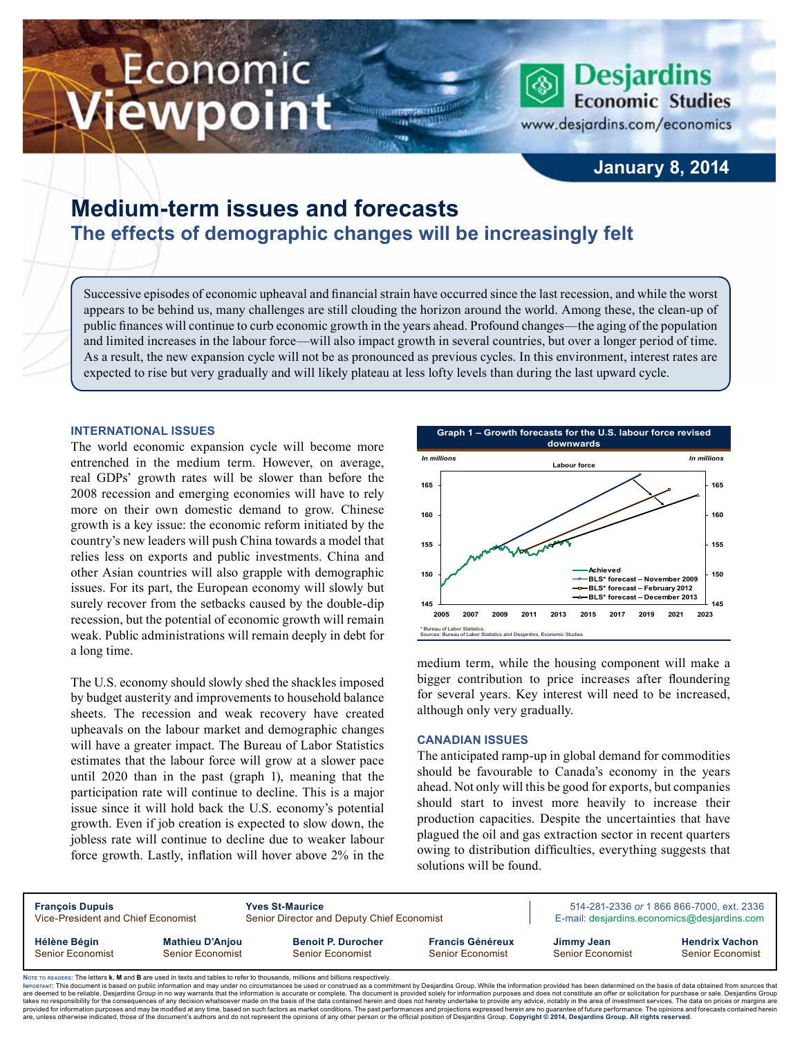# Economic ewpoint



www.desjardins.com/economics

# **January 8, 2014**

# **Medium-term issues and forecasts The effects of demographic changes will be increasingly felt**

Successive episodes of economic upheaval and financial strain have occurred since the last recession, and while the worst appears to be behind us, many challenges are still clouding the horizon around the world. Among these, the clean-up of public finances will continue to curb economic growth in the years ahead. Profound changes—the aging of the population and limited increases in the labour force—will also impact growth in several countries, but over a longer period of time. As a result, the new expansion cycle will not be as pronounced as previous cycles. In this environment, interest rates are expected to rise but very gradually and will likely plateau at less lofty levels than during the last upward cycle.

#### **International issues**

The world economic expansion cycle will become more entrenched in the medium term. However, on average, real GDPs' growth rates will be slower than before the 2008 recession and emerging economies will have to rely more on their own domestic demand to grow. Chinese growth is a key issue: the economic reform initiated by the country's new leaders will push China towards a model that relies less on exports and public investments. China and other Asian countries will also grapple with demographic issues. For its part, the European economy will slowly but surely recover from the setbacks caused by the double-dip recession, but the potential of economic growth will remain weak. Public administrations will remain deeply in debt for a long time.

The U.S. economy should slowly shed the shackles imposed by budget austerity and improvements to household balance sheets. The recession and weak recovery have created upheavals on the labour market and demographic changes will have a greater impact. The Bureau of Labor Statistics estimates that the labour force will grow at a slower pace until 2020 than in the past (graph 1), meaning that the participation rate will continue to decline. This is a major issue since it will hold back the U.S. economy's potential growth. Even if job creation is expected to slow down, the jobless rate will continue to decline due to weaker labour force growth. Lastly, inflation will hover above 2% in the



medium term, while the housing component will make a bigger contribution to price increases after floundering for several years. Key interest will need to be increased, although only very gradually.

#### **Canadian issues**

The anticipated ramp-up in global demand for commodities should be favourable to Canada's economy in the years ahead. Not only will this be good for exports, but companies should start to invest more heavily to increase their production capacities. Despite the uncertainties that have plagued the oil and gas extraction sector in recent quarters owing to distribution difficulties, everything suggests that solutions will be found.

| <b>François Dupuis</b><br>Vice-President and Chief Economist |                        | <b>Yves St-Maurice</b><br>Senior Director and Deputy Chief Economist |                         | 514-281-2336 or 1 866 866-7000, ext. 2336<br>E-mail: desjardins.economics@desjardins.com |                         |  |  |
|--------------------------------------------------------------|------------------------|----------------------------------------------------------------------|-------------------------|------------------------------------------------------------------------------------------|-------------------------|--|--|
| Hélène Bégin                                                 | <b>Mathieu D'Anjou</b> | <b>Benoit P. Durocher</b>                                            | <b>Francis Généreux</b> | Jimmy Jean                                                                               | <b>Hendrix Vachon</b>   |  |  |
| Senior Economist                                             | Senior Economist       | Senior Economist                                                     | Senior Economist        | Senior Economist                                                                         | <b>Senior Economist</b> |  |  |

Noте то келоекs: The letters **k, M** and **B** are used in texts and tables to refer to thousands, millions and billions respectively.<br>Імроктлит: This document is based on public information and may under no circumstances be are deemed to be reliable. Desiardins Group in no way warrants that the information is accurate or complete. The document is provided solely for information purposes and does not constitute an offer or solicitation for pur takes no responsibility for the consequences of any decision whatsoever made on the basis of the data contained herein and does not hereby undertake to provide any advice, notably in the area of investment services. The da .<br>are, unless otherwise indicated, those of the document's authors and do not represent the opinions of any other person or the official position of Desjardins Group. Copyright © 2014, Desjardins Group. All rights reserve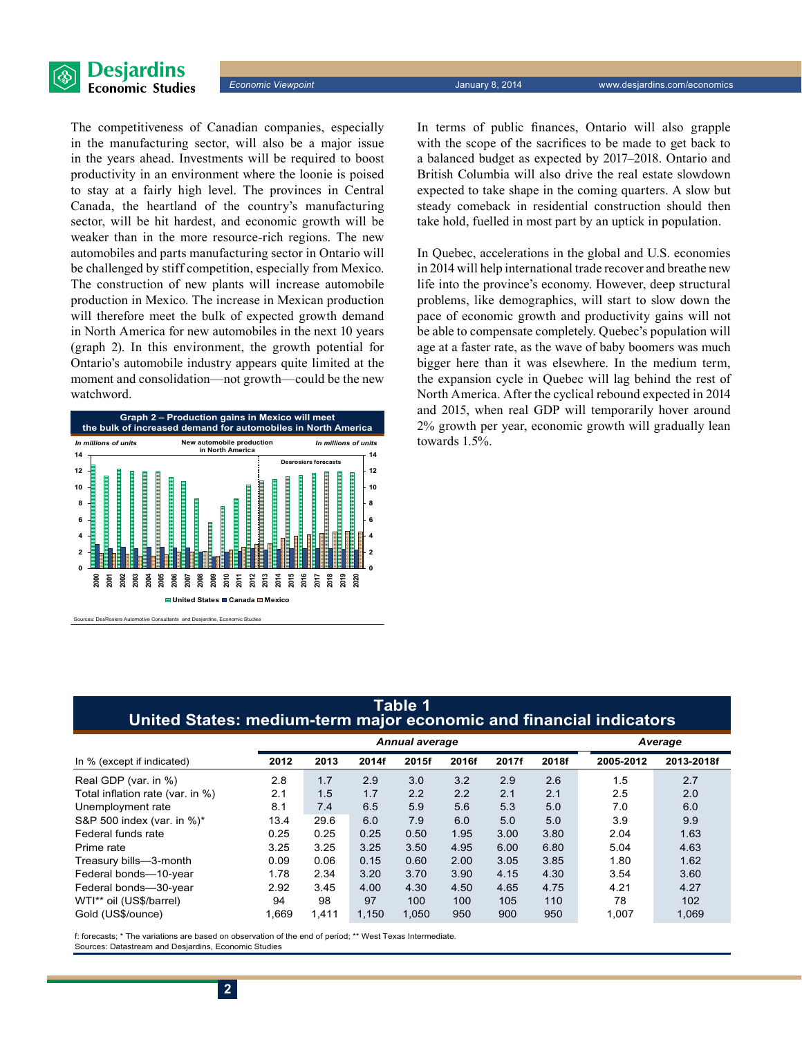

The competitiveness of Canadian companies, especially in the manufacturing sector, will also be a major issue in the years ahead. Investments will be required to boost productivity in an environment where the loonie is poised to stay at a fairly high level. The provinces in Central Canada, the heartland of the country's manufacturing sector, will be hit hardest, and economic growth will be weaker than in the more resource-rich regions. The new automobiles and parts manufacturing sector in Ontario will be challenged by stiff competition, especially from Mexico. The construction of new plants will increase automobile production in Mexico. The increase in Mexican production will therefore meet the bulk of expected growth demand in North America for new automobiles in the next 10 years (graph 2). In this environment, the growth potential for Ontario's automobile industry appears quite limited at the moment and consolidation—not growth—could be the new watchword.



ive Consultants and Desjardins, Economic Studies

In terms of public finances, Ontario will also grapple with the scope of the sacrifices to be made to get back to a balanced budget as expected by 2017–2018. Ontario and British Columbia will also drive the real estate slowdown expected to take shape in the coming quarters. A slow but steady comeback in residential construction should then take hold, fuelled in most part by an uptick in population.

In Quebec, accelerations in the global and U.S. economies in 2014 will help international trade recover and breathe new life into the province's economy. However, deep structural problems, like demographics, will start to slow down the pace of economic growth and productivity gains will not be able to compensate completely. Quebec's population will age at a faster rate, as the wave of baby boomers was much bigger here than it was elsewhere. In the medium term, the expansion cycle in Quebec will lag behind the rest of North America. After the cyclical rebound expected in 2014 and 2015, when real GDP will temporarily hover around 2% growth per year, economic growth will gradually lean towards 1.5%.

## **Table 1 United States: medium-term major economic and financial indicators**

|                                  | <b>Annual average</b> |       |       |       |       |       |       | Average   |            |
|----------------------------------|-----------------------|-------|-------|-------|-------|-------|-------|-----------|------------|
| In % (except if indicated)       | 2012                  | 2013  | 2014f | 2015f | 2016f | 2017f | 2018f | 2005-2012 | 2013-2018f |
| Real GDP (var. in %)             | 2.8                   | 1.7   | 2.9   | 3.0   | 3.2   | 2.9   | 2.6   | 1.5       | 2.7        |
| Total inflation rate (var. in %) | 2.1                   | 1.5   | 1.7   | 2.2   | 2.2   | 2.1   | 2.1   | 2.5       | 2.0        |
| Unemployment rate                | 8.1                   | 7.4   | 6.5   | 5.9   | 5.6   | 5.3   | 5.0   | 7.0       | 6.0        |
| S&P 500 index (var. in %)*       | 13.4                  | 29.6  | 6.0   | 7.9   | 6.0   | 5.0   | 5.0   | 3.9       | 9.9        |
| Federal funds rate               | 0.25                  | 0.25  | 0.25  | 0.50  | 1.95  | 3.00  | 3.80  | 2.04      | 1.63       |
| Prime rate                       | 3.25                  | 3.25  | 3.25  | 3.50  | 4.95  | 6.00  | 6.80  | 5.04      | 4.63       |
| Treasury bills-3-month           | 0.09                  | 0.06  | 0.15  | 0.60  | 2.00  | 3.05  | 3.85  | 1.80      | 1.62       |
| Federal bonds-10-year            | 1.78                  | 2.34  | 3.20  | 3.70  | 3.90  | 4.15  | 4.30  | 3.54      | 3.60       |
| Federal bonds-30-year            | 2.92                  | 3.45  | 4.00  | 4.30  | 4.50  | 4.65  | 4.75  | 4.21      | 4.27       |
| WTI** oil (US\$/barrel)          | 94                    | 98    | 97    | 100   | 100   | 105   | 110   | 78        | 102        |
| Gold (US\$/ounce)                | 1.669                 | 1.411 | 1.150 | 1,050 | 950   | 900   | 950   | 1.007     | 1,069      |

f: forecasts; \* The variations are based on observation of the end of period; \*\* West Texas Intermediate. Sources: Datastream and Desjardins, Economic Studies